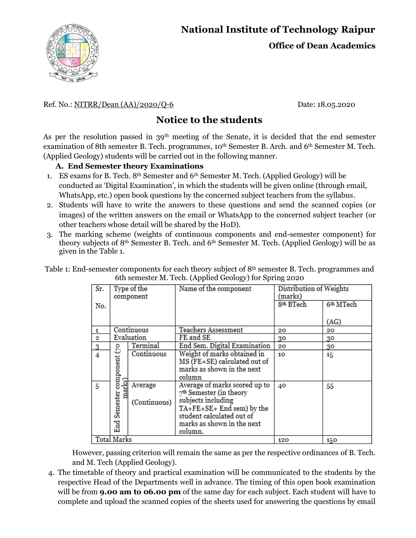# **National Institute of Technology Raipur**



**Office of Dean Academics**

#### Ref. No.: <u>NITRR/Dean (AA)/2020/Q-6</u> Date: 18.05.2020

### **Notice to the students**

As per the resolution passed in  $39<sup>th</sup>$  meeting of the Senate, it is decided that the end semester examination of 8th semester B. Tech. programmes, 10<sup>th</sup> Semester B. Arch. and 6<sup>th</sup> Semester M. Tech. (Applied Geology) students will be carried out in the following manner.

#### **A. End Semester theory Examinations**

- 1. ES exams for B. Tech. 8th Semester and 6th Semester M. Tech. (Applied Geology) will be conducted as 'Digital Examination', in which the students will be given online (through email, WhatsApp, etc.) open book questions by the concerned subject teachers from the syllabus.
- 2. Students will have to write the answers to these questions and send the scanned copies (or images) of the written answers on the email or WhatsApp to the concerned subject teacher (or other teachers whose detail will be shared by the HoD).
- 3. The marking scheme (weights of continuous components and end-semester component) for theory subjects of 8th Semester B. Tech. and 6th Semester M. Tech. (Applied Geology) will be as given in the Table 1.

Table 1: End-semester components for each theory subject of 8th semester B. Tech. programmes and 6th semester M. Tech. (Applied Geology) for Spring 2020

| Sr.         | Type of the<br>component  |                         | Name of the component                                                                                                                                                               | Distribution of Weights<br>(marks) |                       |
|-------------|---------------------------|-------------------------|-------------------------------------------------------------------------------------------------------------------------------------------------------------------------------------|------------------------------------|-----------------------|
| No.         |                           |                         |                                                                                                                                                                                     | 8 <sup>th</sup> BTech              | 6 <sup>th</sup> MTech |
|             |                           |                         |                                                                                                                                                                                     |                                    | (AG)                  |
| 1           |                           | Continuous              | Teachers Assessment                                                                                                                                                                 | 20                                 | 20                    |
| 2           | Evaluation                |                         | FE and SE                                                                                                                                                                           | 30                                 | 30                    |
| 3           | ೭                         | Terminal                | End Sem. Digital Examination                                                                                                                                                        | 20                                 | 30                    |
| 4           | component                 | Continuous              | Weight of marks obtained in<br>MS (FE+SE) calculated out of<br>marks as shown in the next<br>column                                                                                 | 10                                 | 15                    |
| 5           | marks)<br>Semester<br>End | Average<br>(Continuous) | Average of marks scored up to<br>$7th$ Semester (in theory<br>subjects including<br>TA+FE+SE+ End sem) by the<br>student calculated out of<br>marks as shown in the next<br>column. | 40                                 | 55                    |
| Total Marks |                           |                         |                                                                                                                                                                                     | 120                                | 150                   |

However, passing criterion will remain the same as per the respective ordinances of B. Tech. and M. Tech (Applied Geology).

4. The timetable of theory and practical examination will be communicated to the students by the respective Head of the Departments well in advance. The timing of this open book examination will be from **9.00 am to 06.00 pm** of the same day for each subject. Each student will have to complete and upload the scanned copies of the sheets used for answering the questions by email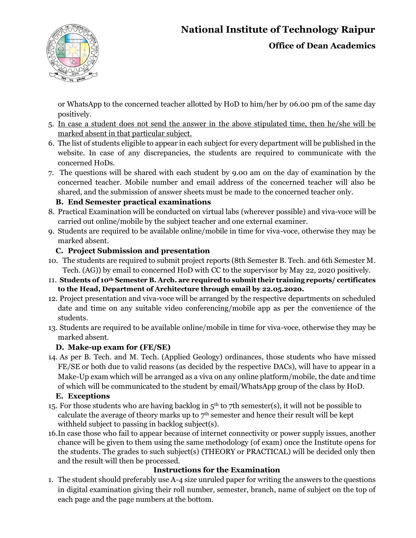# **National Institute of Technology Raipur**



**Office of Dean Academics**

or WhatsApp to the concerned teacher allotted by HoD to him/her by 06.00 pm of the same day positively.

- 5. In case a student does not send the answer in the above stipulated time, then he/she will be marked absent in that particular subject.
- 6. The list of students eligible to appear in each subject for every department will be published in the website. In case of any discrepancies, the students are required to communicate with the concerned HoDs.
- 7. The questions will be shared with each student by 9.00 am on the day of examination by the concerned teacher. Mobile number and email address of the concerned teacher will also be shared, and the submission of answer sheets must be made to the concerned teacher only.

### **B. End Semester practical examinations**

- 8. Practical Examination will be conducted on virtual labs (wherever possible) and viva-voce will be carried out online/mobile by the subject teacher and one external examiner.
- 9. Students are required to be available online/mobile in time for viva-voce, otherwise they may be marked absent.

#### **C. Project Submission and presentation**

- 10. The students are required to submit project reports (8th Semester B. Tech. and 6th Semester M. Tech. (AG)) by email to concerned HoD with CC to the supervisor by May 22, 2020 positively.
- 11. **Students of 10th Semester B. Arch. are required to submit their training reports/ certificates to the Head, Department of Architecture through email by 22.05.2020.**
- 12. Project presentation and viva-voce will be arranged by the respective departments on scheduled date and time on any suitable video conferencing/mobile app as per the convenience of the students.
- 13. Students are required to be available online/mobile in time for viva-voce, otherwise they may be marked absent.

#### **D. Make-up exam for (FE/SE)**

14. As per B. Tech. and M. Tech. (Applied Geology) ordinances, those students who have missed FE/SE or both due to valid reasons (as decided by the respective DACs), will have to appear in a Make-Up exam which will be arranged as a viva on any online platform/mobile, the date and time of which will be communicated to the student by email/WhatsApp group of the class by HoD.

#### **E. Exceptions**

- 15. For those students who are having backlog in  $5<sup>th</sup>$  to 7th semester(s), it will not be possible to calculate the average of theory marks up to  $7<sup>th</sup>$  semester and hence their result will be kept withheld subject to passing in backlog subject(s).
- 16.In case those who fail to appear because of internet connectivity or power supply issues, another chance will be given to them using the same methodology (of exam) once the Institute opens for the students. The grades to such subject(s) (THEORY or PRACTICAL) will be decided only then and the result will then be processed.

### **Instructions for the Examination**

1. The student should preferably use A-4 size unruled paper for writing the answers to the questions in digital examination giving their roll number, semester, branch, name of subject on the top of each page and the page numbers at the bottom.